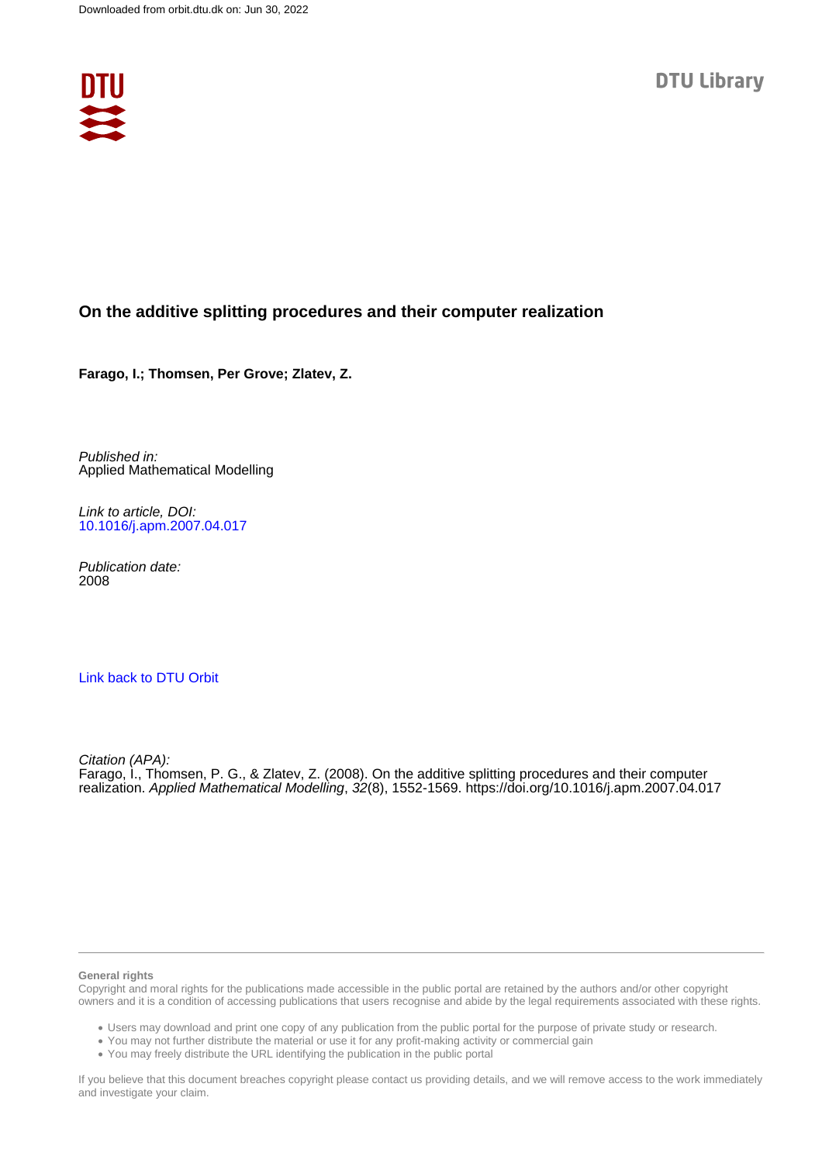

# **On the additive splitting procedures and their computer realization**

**Farago, I.; Thomsen, Per Grove; Zlatev, Z.**

Published in: Applied Mathematical Modelling

Link to article, DOI: [10.1016/j.apm.2007.04.017](https://doi.org/10.1016/j.apm.2007.04.017)

Publication date: 2008

## [Link back to DTU Orbit](https://orbit.dtu.dk/en/publications/d441ea3a-de1d-4404-bd5a-2a80572ad2bd)

Citation (APA): Farago, I., Thomsen, P. G., & Zlatev, Z. (2008). On the additive splitting procedures and their computer realization. Applied Mathematical Modelling, 32(8), 1552-1569.<https://doi.org/10.1016/j.apm.2007.04.017>

#### **General rights**

Copyright and moral rights for the publications made accessible in the public portal are retained by the authors and/or other copyright owners and it is a condition of accessing publications that users recognise and abide by the legal requirements associated with these rights.

Users may download and print one copy of any publication from the public portal for the purpose of private study or research.

- You may not further distribute the material or use it for any profit-making activity or commercial gain
- You may freely distribute the URL identifying the publication in the public portal

If you believe that this document breaches copyright please contact us providing details, and we will remove access to the work immediately and investigate your claim.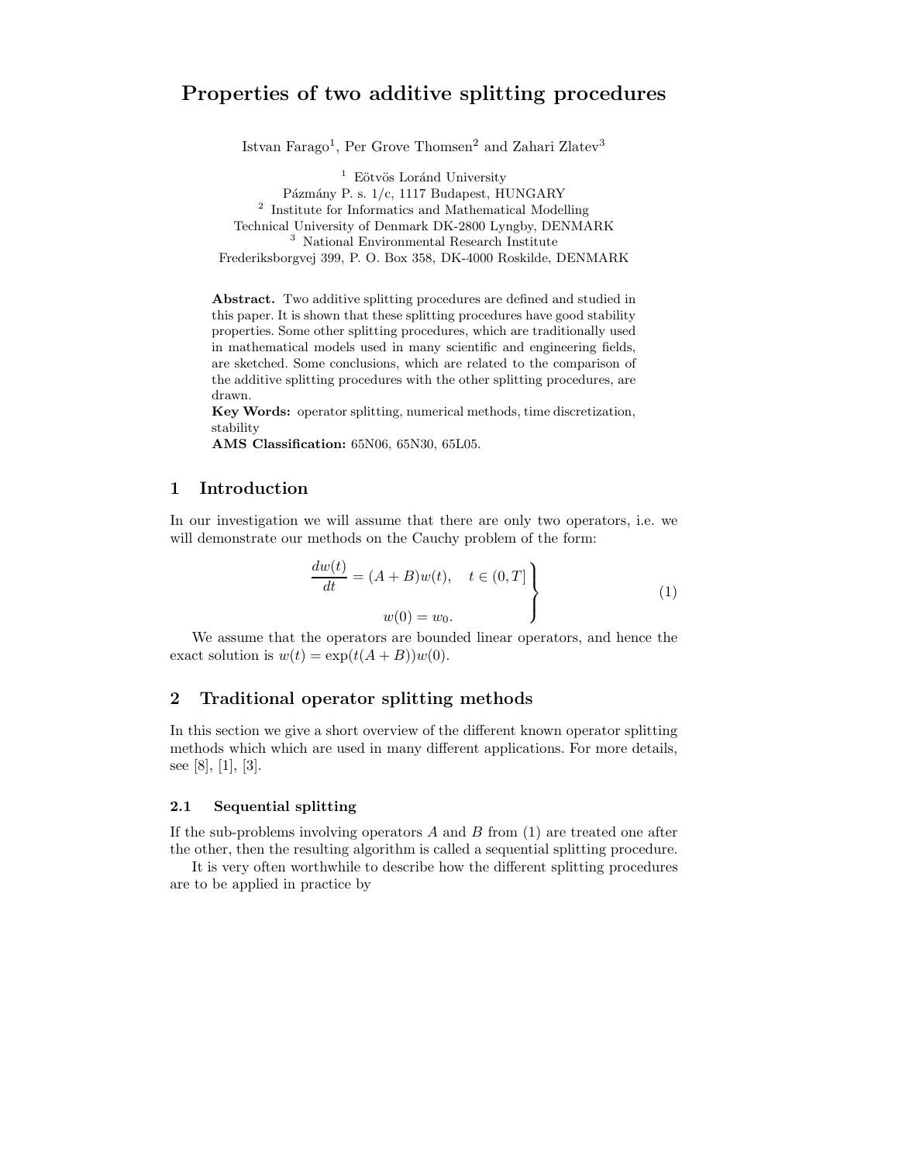# **Properties of two additive splitting procedures**

Istvan Farago<sup>1</sup>, Per Grove Thomsen<sup>2</sup> and Zahari Zlatev<sup>3</sup>

 $1$  Eötvös Loránd University Pázmány P. s. 1/c, 1117 Budapest, HUNGARY <sup>2</sup> Institute for Informatics and Mathematical Modelling Technical University of Denmark DK-2800 Lyngby, DENMARK <sup>3</sup> National Environmental Research Institute Frederiksborgvej 399, P. O. Box 358, DK-4000 Roskilde, DENMARK

**Abstract.** Two additive splitting procedures are defined and studied in this paper. It is shown that these splitting procedures have good stability properties. Some other splitting procedures, which are traditionally used in mathematical models used in many scientific and engineering fields, are sketched. Some conclusions, which are related to the comparison of the additive splitting procedures with the other splitting procedures, are drawn.

**Key Words:** operator splitting, numerical methods, time discretization, stability

**AMS Classification:** 65N06, 65N30, 65L05.

## **1 Introduction**

In our investigation we will assume that there are only two operators, i.e. we will demonstrate our methods on the Cauchy problem of the form:

$$
\frac{dw(t)}{dt} = (A+B)w(t), \quad t \in (0,T]
$$
\n
$$
w(0) = w_0.
$$
\n(1)

We assume that the operators are bounded linear operators, and hence the exact solution is  $w(t) = \exp(t(A+B))w(0)$ .

## **2 Traditional operator splitting methods**

In this section we give a short overview of the different known operator splitting methods which which are used in many different applications. For more details, see [8], [1], [3].

## **2.1 Sequential splitting**

If the sub-problems involving operators  $A$  and  $B$  from  $(1)$  are treated one after the other, then the resulting algorithm is called a sequential splitting procedure.

It is very often worthwhile to describe how the different splitting procedures are to be applied in practice by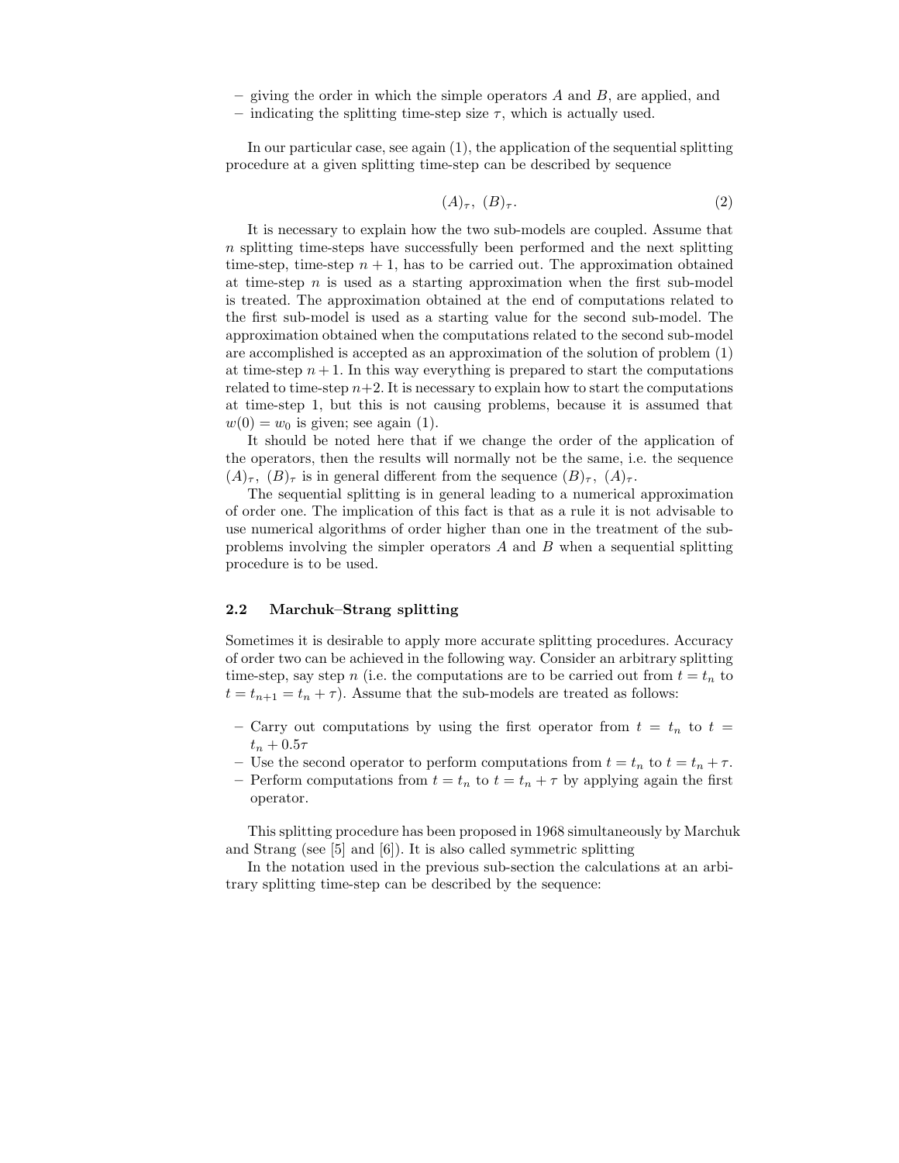- **–** giving the order in which the simple operators A and B, are applied, and
- indicating the splitting time-step size  $\tau$ , which is actually used.

In our particular case, see again (1), the application of the sequential splitting procedure at a given splitting time-step can be described by sequence

$$
(A)_{\tau}, (B)_{\tau}.
$$

It is necessary to explain how the two sub-models are coupled. Assume that n splitting time-steps have successfully been performed and the next splitting time-step, time-step  $n + 1$ , has to be carried out. The approximation obtained at time-step  $n$  is used as a starting approximation when the first sub-model is treated. The approximation obtained at the end of computations related to the first sub-model is used as a starting value for the second sub-model. The approximation obtained when the computations related to the second sub-model are accomplished is accepted as an approximation of the solution of problem (1) at time-step  $n + 1$ . In this way everything is prepared to start the computations related to time-step  $n+2$ . It is necessary to explain how to start the computations at time-step 1, but this is not causing problems, because it is assumed that  $w(0) = w_0$  is given; see again (1).

It should be noted here that if we change the order of the application of the operators, then the results will normally not be the same, i.e. the sequence  $(A)_{\tau}$ ,  $(B)_{\tau}$  is in general different from the sequence  $(B)_{\tau}$ ,  $(A)_{\tau}$ .

The sequential splitting is in general leading to a numerical approximation of order one. The implication of this fact is that as a rule it is not advisable to use numerical algorithms of order higher than one in the treatment of the subproblems involving the simpler operators  $A$  and  $B$  when a sequential splitting procedure is to be used.

## **2.2 Marchuk–Strang splitting**

Sometimes it is desirable to apply more accurate splitting procedures. Accuracy of order two can be achieved in the following way. Consider an arbitrary splitting time-step, say step n (i.e. the computations are to be carried out from  $t = t_n$  to  $t = t_{n+1} = t_n + \tau$ . Assume that the sub-models are treated as follows:

- Carry out computations by using the first operator from  $t = t_n$  to  $t =$  $t_n + 0.5\tau$
- **–** Use the second operator to perform computations from  $t = t_n$  to  $t = t_n + \tau$ .
- **–** Perform computations from  $t = t_n$  to  $t = t_n + \tau$  by applying again the first operator.

This splitting procedure has been proposed in 1968 simultaneously by Marchuk and Strang (see [5] and [6]). It is also called symmetric splitting

In the notation used in the previous sub-section the calculations at an arbitrary splitting time-step can be described by the sequence: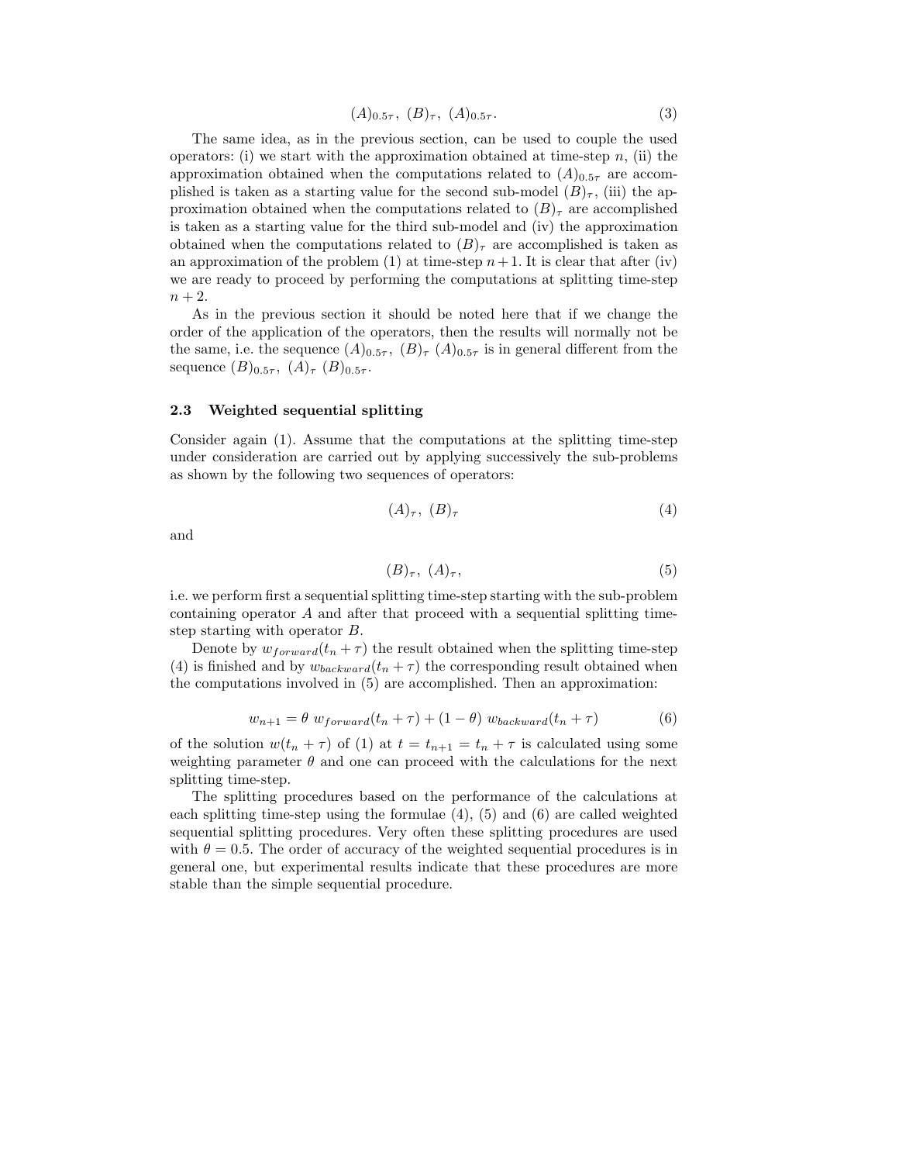$$
(A)_{0.5\tau}, (B)_{\tau}, (A)_{0.5\tau}.
$$
 (3)

The same idea, as in the previous section, can be used to couple the used operators: (i) we start with the approximation obtained at time-step  $n$ , (ii) the approximation obtained when the computations related to  $(A)_{0.5\tau}$  are accomplished is taken as a starting value for the second sub-model  $(B)_{\tau}$ , (iii) the approximation obtained when the computations related to  $(B)_{\tau}$  are accomplished is taken as a starting value for the third sub-model and (iv) the approximation obtained when the computations related to  $(B)_{\tau}$  are accomplished is taken as an approximation of the problem (1) at time-step  $n+1$ . It is clear that after (iv) we are ready to proceed by performing the computations at splitting time-step  $n+2$ .

As in the previous section it should be noted here that if we change the order of the application of the operators, then the results will normally not be the same, i.e. the sequence  $(A)_{0.5\tau}$ ,  $(B)_{\tau}$   $(A)_{0.5\tau}$  is in general different from the sequence  $(B)_{0.5\tau}$ ,  $(A)_{\tau}$   $(B)_{0.5\tau}$ .

#### **2.3 Weighted sequential splitting**

Consider again (1). Assume that the computations at the splitting time-step under consideration are carried out by applying successively the sub-problems as shown by the following two sequences of operators:

$$
(A)_{\tau}, (B)_{\tau} \tag{4}
$$

and

$$
(B)_{\tau}, (A)_{\tau}, \tag{5}
$$

i.e. we perform first a sequential splitting time-step starting with the sub-problem containing operator A and after that proceed with a sequential splitting timestep starting with operator B.

Denote by  $w_{forward}(t_n + \tau)$  the result obtained when the splitting time-step (4) is finished and by  $w_{backward}(t_n + \tau)$  the corresponding result obtained when the computations involved in (5) are accomplished. Then an approximation:

$$
w_{n+1} = \theta \ w_{forward}(t_n + \tau) + (1 - \theta) \ w_{backward}(t_n + \tau)
$$
 (6)

of the solution  $w(t_n + \tau)$  of (1) at  $t = t_{n+1} = t_n + \tau$  is calculated using some weighting parameter  $\theta$  and one can proceed with the calculations for the next splitting time-step.

The splitting procedures based on the performance of the calculations at each splitting time-step using the formulae (4), (5) and (6) are called weighted sequential splitting procedures. Very often these splitting procedures are used with  $\theta = 0.5$ . The order of accuracy of the weighted sequential procedures is in general one, but experimental results indicate that these procedures are more stable than the simple sequential procedure.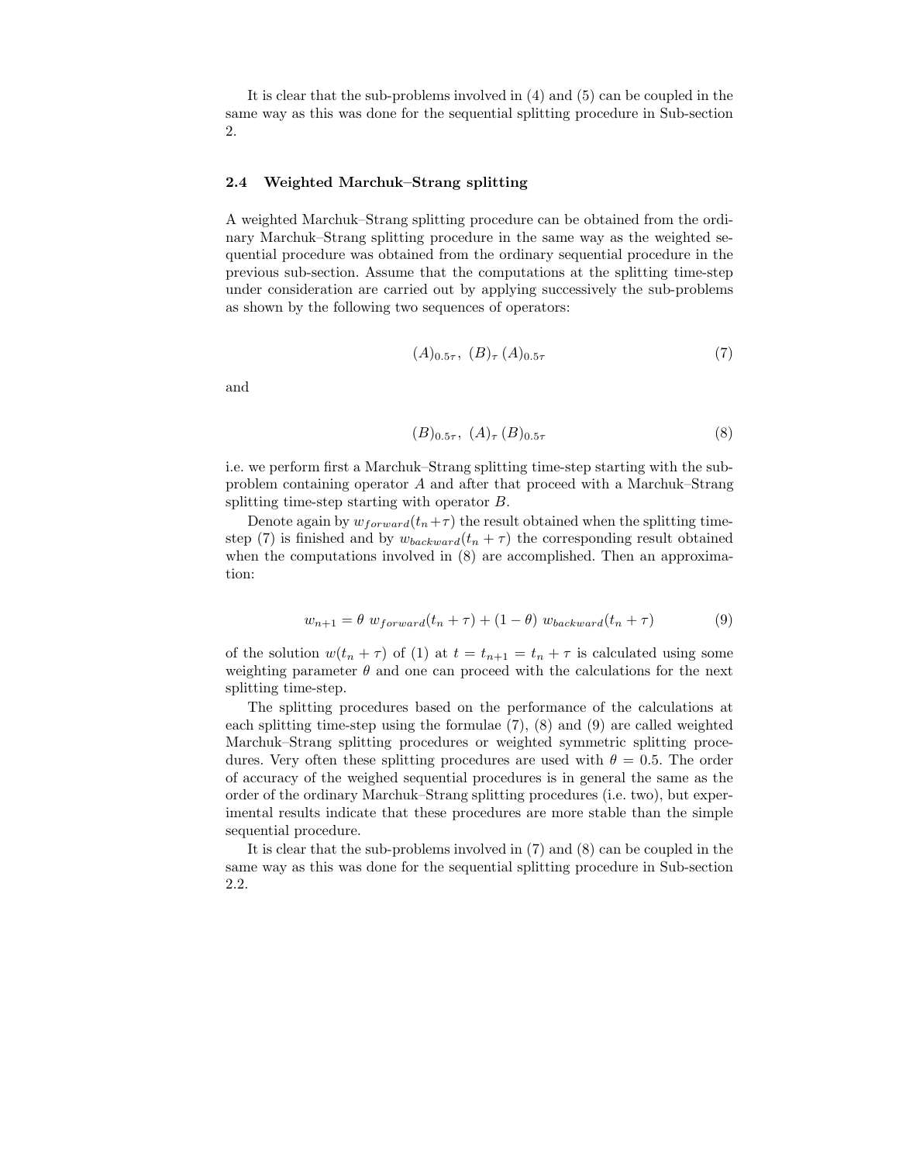It is clear that the sub-problems involved in (4) and (5) can be coupled in the same way as this was done for the sequential splitting procedure in Sub-section 2.

#### **2.4 Weighted Marchuk–Strang splitting**

A weighted Marchuk–Strang splitting procedure can be obtained from the ordinary Marchuk–Strang splitting procedure in the same way as the weighted sequential procedure was obtained from the ordinary sequential procedure in the previous sub-section. Assume that the computations at the splitting time-step under consideration are carried out by applying successively the sub-problems as shown by the following two sequences of operators:

$$
(A)_{0.5\tau}, (B)_{\tau} (A)_{0.5\tau} \tag{7}
$$

and

$$
(B)_{0.5\tau}, (A)_{\tau} (B)_{0.5\tau} \tag{8}
$$

i.e. we perform first a Marchuk–Strang splitting time-step starting with the subproblem containing operator A and after that proceed with a Marchuk–Strang splitting time-step starting with operator B.

Denote again by  $w_{forward}(t_n+\tau)$  the result obtained when the splitting timestep (7) is finished and by  $w_{backward}(t_n + \tau)$  the corresponding result obtained when the computations involved in  $(8)$  are accomplished. Then an approximation:

$$
w_{n+1} = \theta \ w_{forward}(t_n + \tau) + (1 - \theta) \ w_{backward}(t_n + \tau)
$$
 (9)

of the solution  $w(t_n + \tau)$  of (1) at  $t = t_{n+1} = t_n + \tau$  is calculated using some weighting parameter  $\theta$  and one can proceed with the calculations for the next splitting time-step.

The splitting procedures based on the performance of the calculations at each splitting time-step using the formulae (7), (8) and (9) are called weighted Marchuk–Strang splitting procedures or weighted symmetric splitting procedures. Very often these splitting procedures are used with  $\theta = 0.5$ . The order of accuracy of the weighed sequential procedures is in general the same as the order of the ordinary Marchuk–Strang splitting procedures (i.e. two), but experimental results indicate that these procedures are more stable than the simple sequential procedure.

It is clear that the sub-problems involved in (7) and (8) can be coupled in the same way as this was done for the sequential splitting procedure in Sub-section 2.2.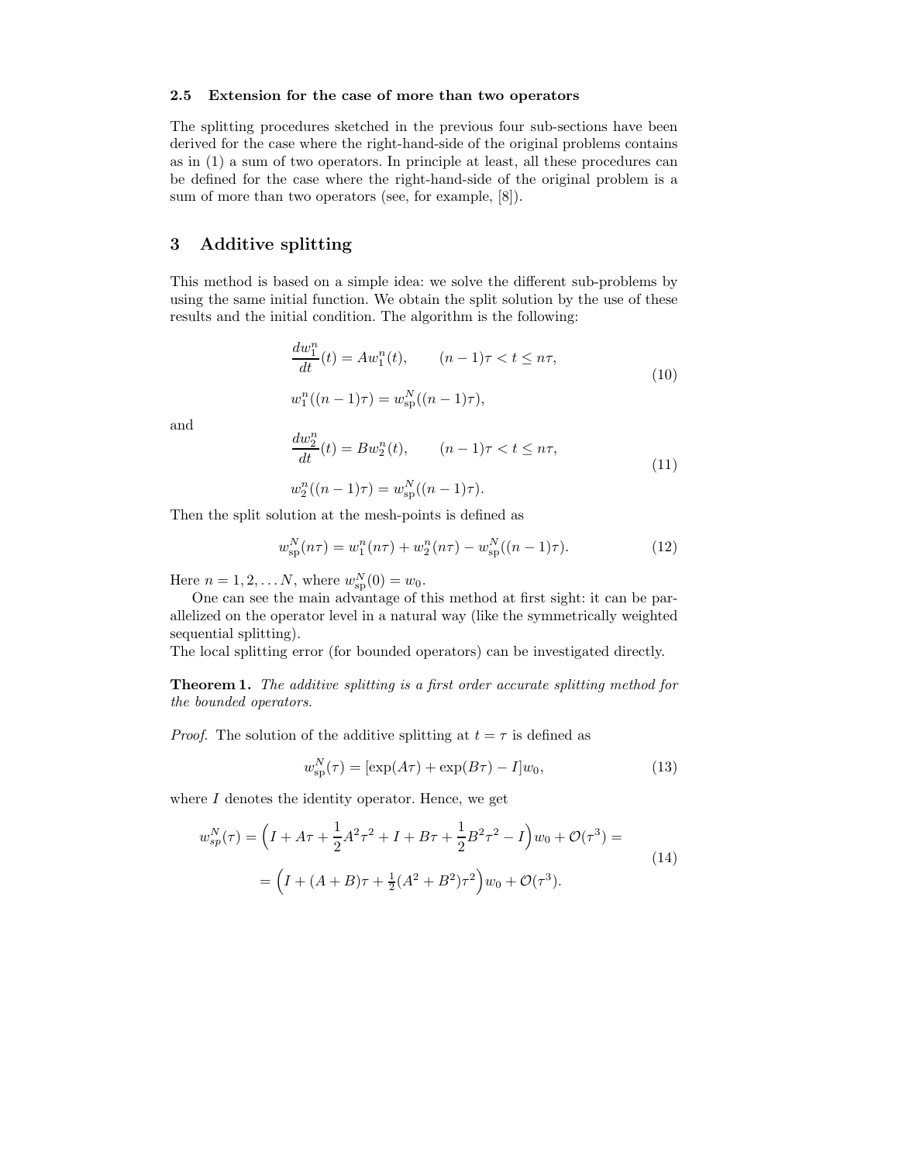#### **2.5 Extension for the case of more than two operators**

The splitting procedures sketched in the previous four sub-sections have been derived for the case where the right-hand-side of the original problems contains as in (1) a sum of two operators. In principle at least, all these procedures can be defined for the case where the right-hand-side of the original problem is a sum of more than two operators (see, for example, [8]).

## **3 Additive splitting**

This method is based on a simple idea: we solve the different sub-problems by using the same initial function. We obtain the split solution by the use of these results and the initial condition. The algorithm is the following:

$$
\frac{dw_1^n}{dt}(t) = Aw_1^n(t), \qquad (n-1)\tau < t \le n\tau,
$$
  

$$
w_1^n((n-1)\tau) = w_{\text{sp}}^N((n-1)\tau),
$$
 (10)

and

$$
\frac{dw_2^n}{dt}(t) = Bw_2^n(t), \qquad (n-1)\tau < t \leq n\tau,\tag{11}
$$

$$
w_2^n((n-1)\tau) = w_{\text{sp}}^N((n-1)\tau).
$$

Then the split solution at the mesh-points is defined as

$$
w_{\rm sp}^N(n\tau) = w_1^n(n\tau) + w_2^n(n\tau) - w_{\rm sp}^N((n-1)\tau). \tag{12}
$$

Here  $n = 1, 2, ... N$ , where  $w_{\text{sp}}^{N}(0) = w_0$ .

One can see the main advantage of this method at first sight: it can be parallelized on the operator level in a natural way (like the symmetrically weighted sequential splitting).

The local splitting error (for bounded operators) can be investigated directly.

**Theorem 1.** *The additive splitting is a first order accurate splitting method for the bounded operators.*

*Proof.* The solution of the additive splitting at  $t = \tau$  is defined as

$$
w_{\rm sp}^{N}(\tau) = [\exp(A\tau) + \exp(B\tau) - I]w_0, \qquad (13)
$$

where  $I$  denotes the identity operator. Hence, we get

$$
w_{sp}^{N}(\tau) = \left(I + A\tau + \frac{1}{2}A^{2}\tau^{2} + I + B\tau + \frac{1}{2}B^{2}\tau^{2} - I\right)w_{0} + \mathcal{O}(\tau^{3}) =
$$
  
=  $\left(I + (A + B)\tau + \frac{1}{2}(A^{2} + B^{2})\tau^{2}\right)w_{0} + \mathcal{O}(\tau^{3}).$  (14)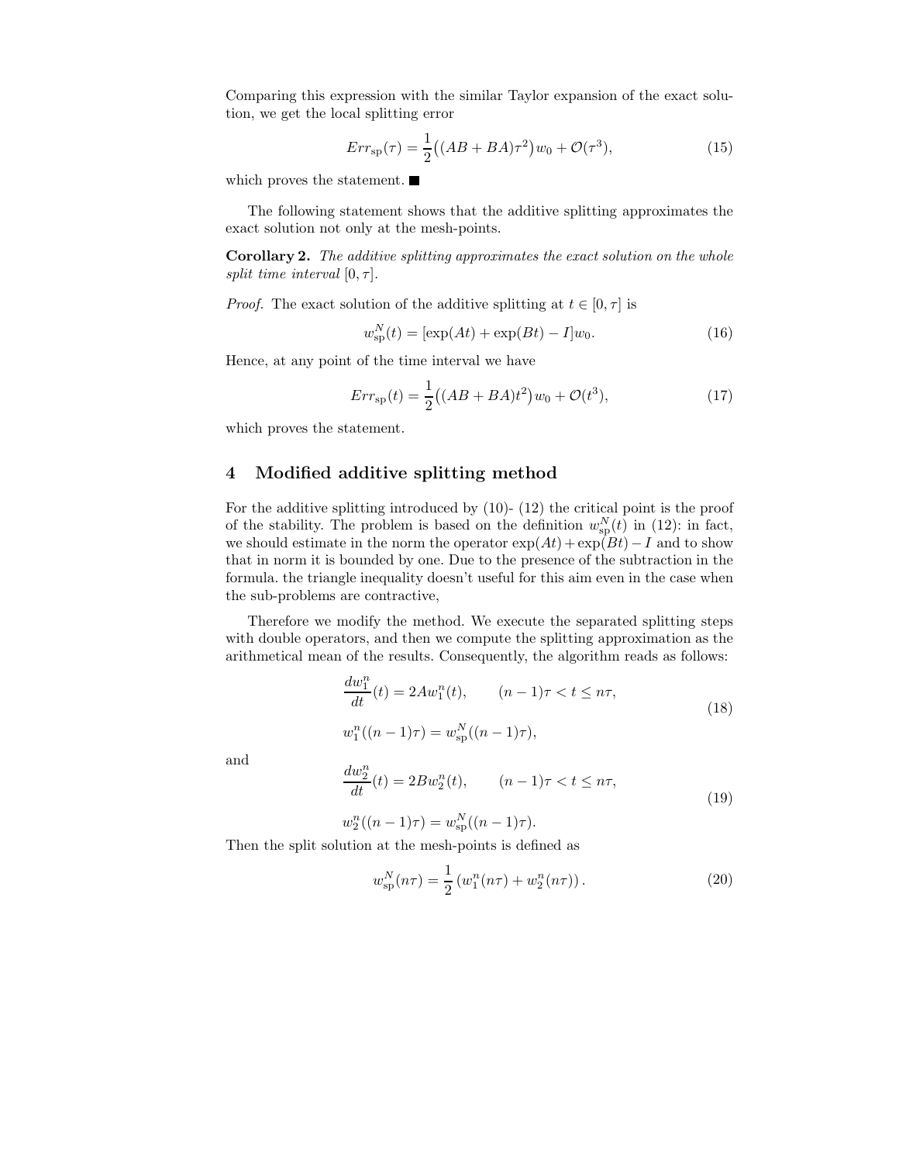Comparing this expression with the similar Taylor expansion of the exact solution, we get the local splitting error

$$
Err_{sp}(\tau) = \frac{1}{2}((AB + BA)\tau^2)w_0 + \mathcal{O}(\tau^3),
$$
\n(15)

which proves the statement.

The following statement shows that the additive splitting approximates the exact solution not only at the mesh-points.

**Corollary 2.** *The additive splitting approximates the exact solution on the whole split time interval*  $[0, \tau]$ *.* 

*Proof.* The exact solution of the additive splitting at  $t \in [0, \tau]$  is

$$
w_{\rm sp}^{N}(t) = [\exp(At) + \exp(Bt) - I]w_0.
$$
 (16)

Hence, at any point of the time interval we have

$$
Err_{sp}(t) = \frac{1}{2}((AB + BA)t^2)w_0 + \mathcal{O}(t^3),\tag{17}
$$

which proves the statement.

## **4 Modified additive splitting method**

For the additive splitting introduced by (10)- (12) the critical point is the proof of the stability. The problem is based on the definition  $w_{\text{sp}}^{N}(t)$  in (12): in fact, we should estimate in the norm the operator  $exp(At) + exp(Bt) - I$  and to show that in norm it is bounded by one. Due to the presence of the subtraction in the formula. the triangle inequality doesn't useful for this aim even in the case when the sub-problems are contractive,

Therefore we modify the method. We execute the separated splitting steps with double operators, and then we compute the splitting approximation as the arithmetical mean of the results. Consequently, the algorithm reads as follows:

$$
\frac{dw_1^n}{dt}(t) = 2Aw_1^n(t), \qquad (n-1)\tau < t \le n\tau,
$$
  

$$
w_1^n((n-1)\tau) = w_{\text{sp}}^N((n-1)\tau),
$$
\n(18)

and

$$
\frac{dw_2^n}{dt}(t) = 2Bw_2^n(t), \qquad (n-1)\tau < t \le n\tau,
$$
  

$$
w_2^n((n-1)\tau) = w_{\rm sp}^N((n-1)\tau).
$$
 (19)

Then the split solution at the mesh-points is defined as

$$
w_{\rm sp}^N(n\tau) = \frac{1}{2} \left( w_1^n(n\tau) + w_2^n(n\tau) \right). \tag{20}
$$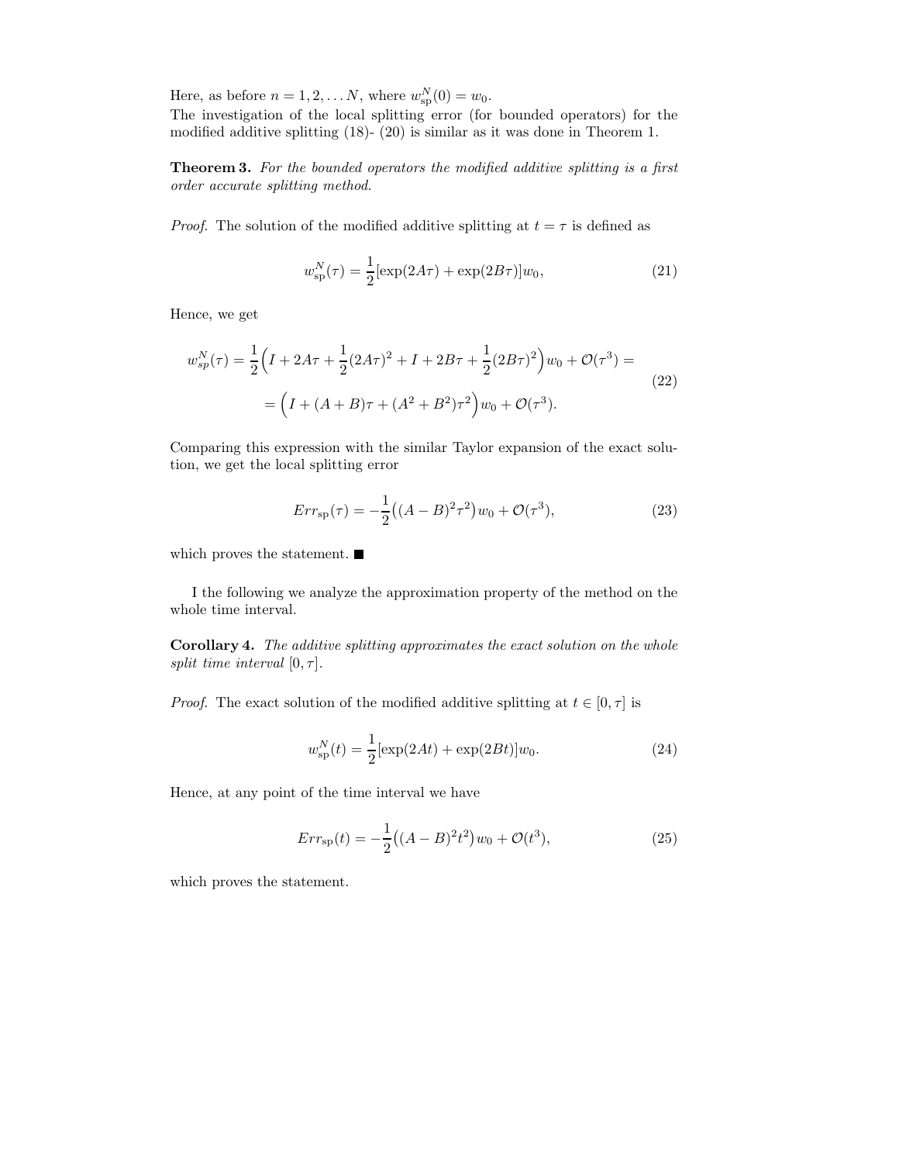Here, as before  $n = 1, 2, \dots N$ , where  $w_{\text{sp}}^{N}(0) = w_0$ . The investigation of the local splitting error (for bounded operators) for the modified additive splitting (18)- (20) is similar as it was done in Theorem 1.

**Theorem 3.** *For the bounded operators the modified additive splitting is a first order accurate splitting method.*

*Proof.* The solution of the modified additive splitting at  $t = \tau$  is defined as

$$
w_{\rm sp}^N(\tau) = \frac{1}{2} [\exp(2A\tau) + \exp(2B\tau)] w_0, \qquad (21)
$$

Hence, we get

$$
w_{sp}^{N}(\tau) = \frac{1}{2} \Big( I + 2A\tau + \frac{1}{2} (2A\tau)^{2} + I + 2B\tau + \frac{1}{2} (2B\tau)^{2} \Big) w_{0} + \mathcal{O}(\tau^{3}) =
$$
  
=  $\Big( I + (A+B)\tau + (A^{2} + B^{2})\tau^{2} \Big) w_{0} + \mathcal{O}(\tau^{3}).$  (22)

Comparing this expression with the similar Taylor expansion of the exact solution, we get the local splitting error

$$
Err_{\rm sp}(\tau) = -\frac{1}{2} \left( (A - B)^2 \tau^2 \right) w_0 + \mathcal{O}(\tau^3),\tag{23}
$$

which proves the statement.

I the following we analyze the approximation property of the method on the whole time interval.

**Corollary 4.** *The additive splitting approximates the exact solution on the whole split time interval*  $[0, \tau]$ *.* 

*Proof.* The exact solution of the modified additive splitting at  $t \in [0, \tau]$  is

$$
w_{\rm sp}^{N}(t) = \frac{1}{2} [\exp(2At) + \exp(2Bt)] w_0.
$$
 (24)

Hence, at any point of the time interval we have

$$
Err_{sp}(t) = -\frac{1}{2}((A-B)^{2}t^{2})w_{0} + \mathcal{O}(t^{3}),
$$
\n(25)

which proves the statement.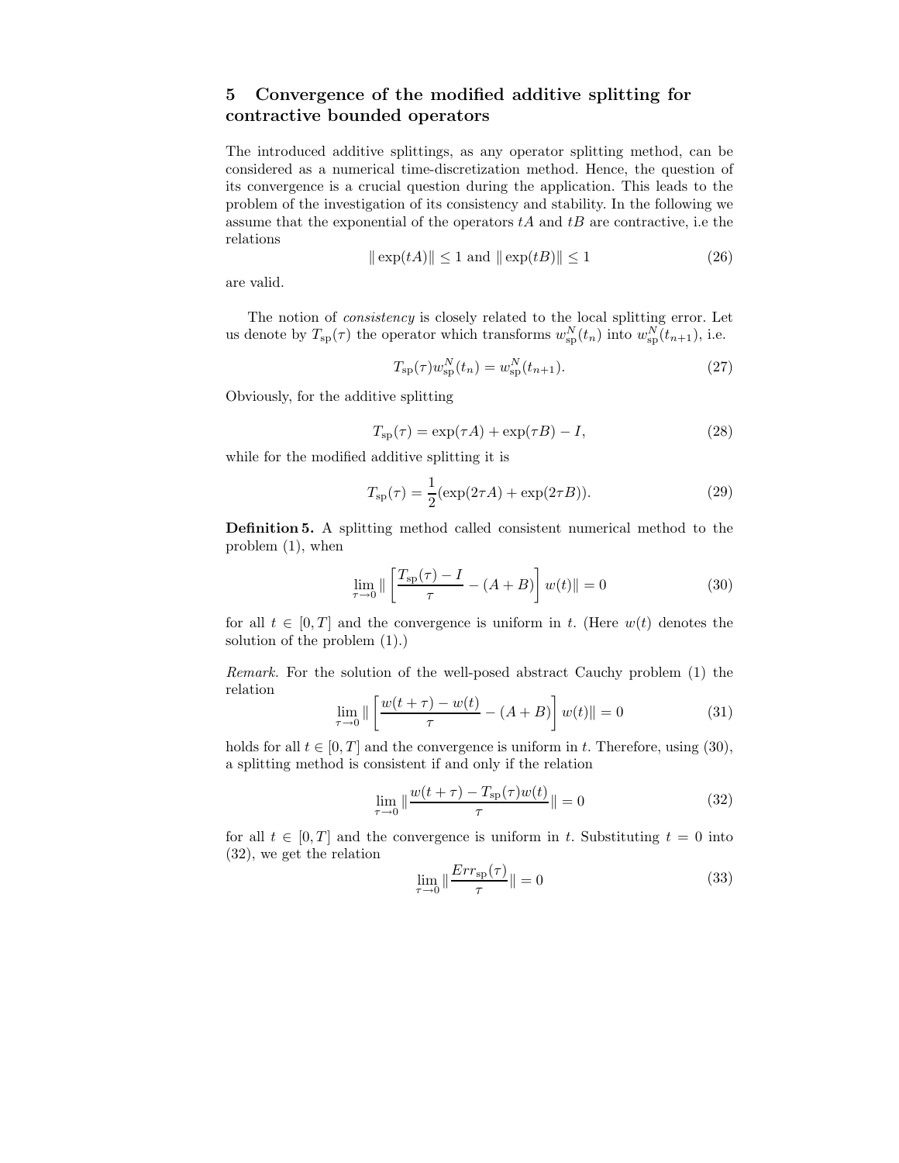## **5 Convergence of the modified additive splitting for contractive bounded operators**

The introduced additive splittings, as any operator splitting method, can be considered as a numerical time-discretization method. Hence, the question of its convergence is a crucial question during the application. This leads to the problem of the investigation of its consistency and stability. In the following we assume that the exponential of the operators  $tA$  and  $tB$  are contractive, i.e the relations

$$
\|\exp(tA)\| \le 1 \text{ and } \|\exp(tB)\| \le 1 \tag{26}
$$

are valid.

The notion of *consistency* is closely related to the local splitting error. Let us denote by  $T_{sp}(\tau)$  the operator which transforms  $w_{sp}^{N}(t_n)$  into  $w_{sp}^{N}(t_{n+1})$ , i.e.

$$
T_{\rm sp}(\tau)w_{\rm sp}^N(t_n) = w_{\rm sp}^N(t_{n+1}).
$$
\n(27)

Obviously, for the additive splitting

$$
T_{\rm sp}(\tau) = \exp(\tau A) + \exp(\tau B) - I,\tag{28}
$$

while for the modified additive splitting it is

$$
T_{\rm sp}(\tau) = \frac{1}{2} (\exp(2\tau A) + \exp(2\tau B)).
$$
 (29)

**Definition 5.** A splitting method called consistent numerical method to the problem (1), when

$$
\lim_{\tau \to 0} \| \left[ \frac{T_{\rm sp}(\tau) - I}{\tau} - (A + B) \right] w(t) \| = 0 \tag{30}
$$

for all  $t \in [0, T]$  and the convergence is uniform in t. (Here  $w(t)$  denotes the solution of the problem (1).)

*Remark.* For the solution of the well-posed abstract Cauchy problem (1) the relation

$$
\lim_{\tau \to 0} \|\left[\frac{w(t+\tau) - w(t)}{\tau} - (A+B)\right]w(t)\| = 0
$$
\n(31)

holds for all  $t \in [0, T]$  and the convergence is uniform in t. Therefore, using (30), a splitting method is consistent if and only if the relation

$$
\lim_{\tau \to 0} \|\frac{w(t+\tau) - T_{\rm sp}(\tau)w(t)}{\tau}\| = 0
$$
\n(32)

for all  $t \in [0, T]$  and the convergence is uniform in t. Substituting  $t = 0$  into (32), we get the relation

$$
\lim_{\tau \to 0} \|\frac{Err_{\text{sp}}(\tau)}{\tau}\| = 0
$$
\n(33)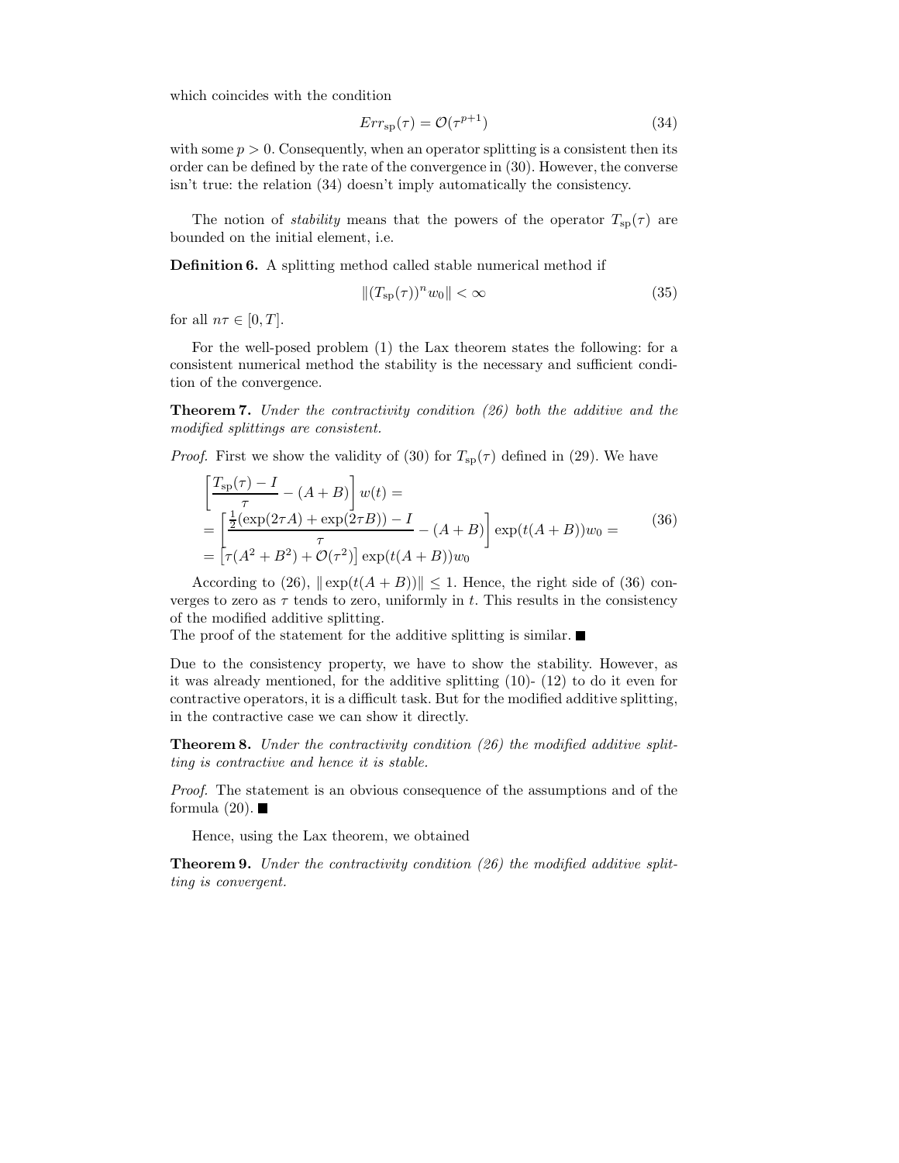which coincides with the condition

$$
Err_{\rm sp}(\tau) = \mathcal{O}(\tau^{p+1})\tag{34}
$$

with some  $p > 0$ . Consequently, when an operator splitting is a consistent then its order can be defined by the rate of the convergence in (30). However, the converse isn't true: the relation (34) doesn't imply automatically the consistency.

The notion of *stability* means that the powers of the operator  $T_{sp}(\tau)$  are bounded on the initial element, i.e.

**Definition 6.** A splitting method called stable numerical method if

$$
\|(T_{\rm sp}(\tau))^n w_0\| < \infty \tag{35}
$$

for all  $n\tau \in [0, T]$ .

For the well-posed problem (1) the Lax theorem states the following: for a consistent numerical method the stability is the necessary and sufficient condition of the convergence.

**Theorem 7.** *Under the contractivity condition (26) both the additive and the modified splittings are consistent.*

*Proof.* First we show the validity of (30) for  $T_{sp}(\tau)$  defined in (29). We have

$$
\begin{aligned}\n\left[\frac{T_{\rm sp}(\tau) - I}{\tau} - (A + B)\right] w(t) &= \\
&= \left[\frac{\frac{1}{2}(\exp(2\tau A) + \exp(2\tau B)) - I}{\tau} - (A + B)\right] \exp(t(A + B))w_0 = \\
&= \left[\tau(A^2 + B^2) + \mathcal{O}(\tau^2)\right] \exp(t(A + B))w_0\n\end{aligned} \tag{36}
$$

According to (26),  $\|\exp(t(A+B))\| \leq 1$ . Hence, the right side of (36) converges to zero as  $\tau$  tends to zero, uniformly in t. This results in the consistency of the modified additive splitting.

The proof of the statement for the additive splitting is similar.  $\blacksquare$ 

Due to the consistency property, we have to show the stability. However, as it was already mentioned, for the additive splitting (10)- (12) to do it even for contractive operators, it is a difficult task. But for the modified additive splitting, in the contractive case we can show it directly.

**Theorem 8.** *Under the contractivity condition (26) the modified additive splitting is contractive and hence it is stable.*

*Proof.* The statement is an obvious consequence of the assumptions and of the formula  $(20)$ .

Hence, using the Lax theorem, we obtained

**Theorem 9.** *Under the contractivity condition (26) the modified additive splitting is convergent.*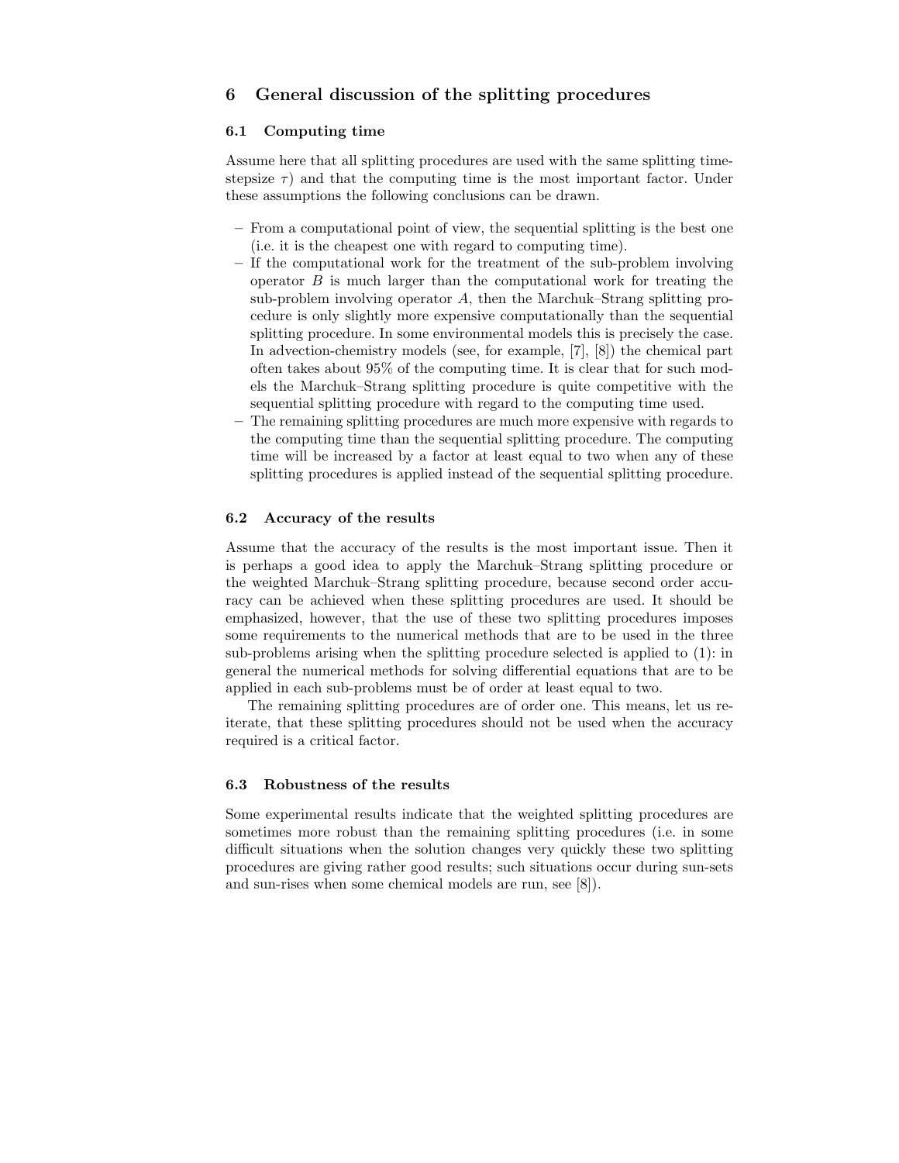## **6 General discussion of the splitting procedures**

### **6.1 Computing time**

Assume here that all splitting procedures are used with the same splitting timestepsize  $\tau$ ) and that the computing time is the most important factor. Under these assumptions the following conclusions can be drawn.

- **–** From a computational point of view, the sequential splitting is the best one (i.e. it is the cheapest one with regard to computing time).
- **–** If the computational work for the treatment of the sub-problem involving operator  $B$  is much larger than the computational work for treating the sub-problem involving operator  $A$ , then the Marchuk–Strang splitting procedure is only slightly more expensive computationally than the sequential splitting procedure. In some environmental models this is precisely the case. In advection-chemistry models (see, for example, [7], [8]) the chemical part often takes about 95% of the computing time. It is clear that for such models the Marchuk–Strang splitting procedure is quite competitive with the sequential splitting procedure with regard to the computing time used.
- **–** The remaining splitting procedures are much more expensive with regards to the computing time than the sequential splitting procedure. The computing time will be increased by a factor at least equal to two when any of these splitting procedures is applied instead of the sequential splitting procedure.

## **6.2 Accuracy of the results**

Assume that the accuracy of the results is the most important issue. Then it is perhaps a good idea to apply the Marchuk–Strang splitting procedure or the weighted Marchuk–Strang splitting procedure, because second order accuracy can be achieved when these splitting procedures are used. It should be emphasized, however, that the use of these two splitting procedures imposes some requirements to the numerical methods that are to be used in the three sub-problems arising when the splitting procedure selected is applied to (1): in general the numerical methods for solving differential equations that are to be applied in each sub-problems must be of order at least equal to two.

The remaining splitting procedures are of order one. This means, let us reiterate, that these splitting procedures should not be used when the accuracy required is a critical factor.

#### **6.3 Robustness of the results**

Some experimental results indicate that the weighted splitting procedures are sometimes more robust than the remaining splitting procedures (i.e. in some difficult situations when the solution changes very quickly these two splitting procedures are giving rather good results; such situations occur during sun-sets and sun-rises when some chemical models are run, see [8]).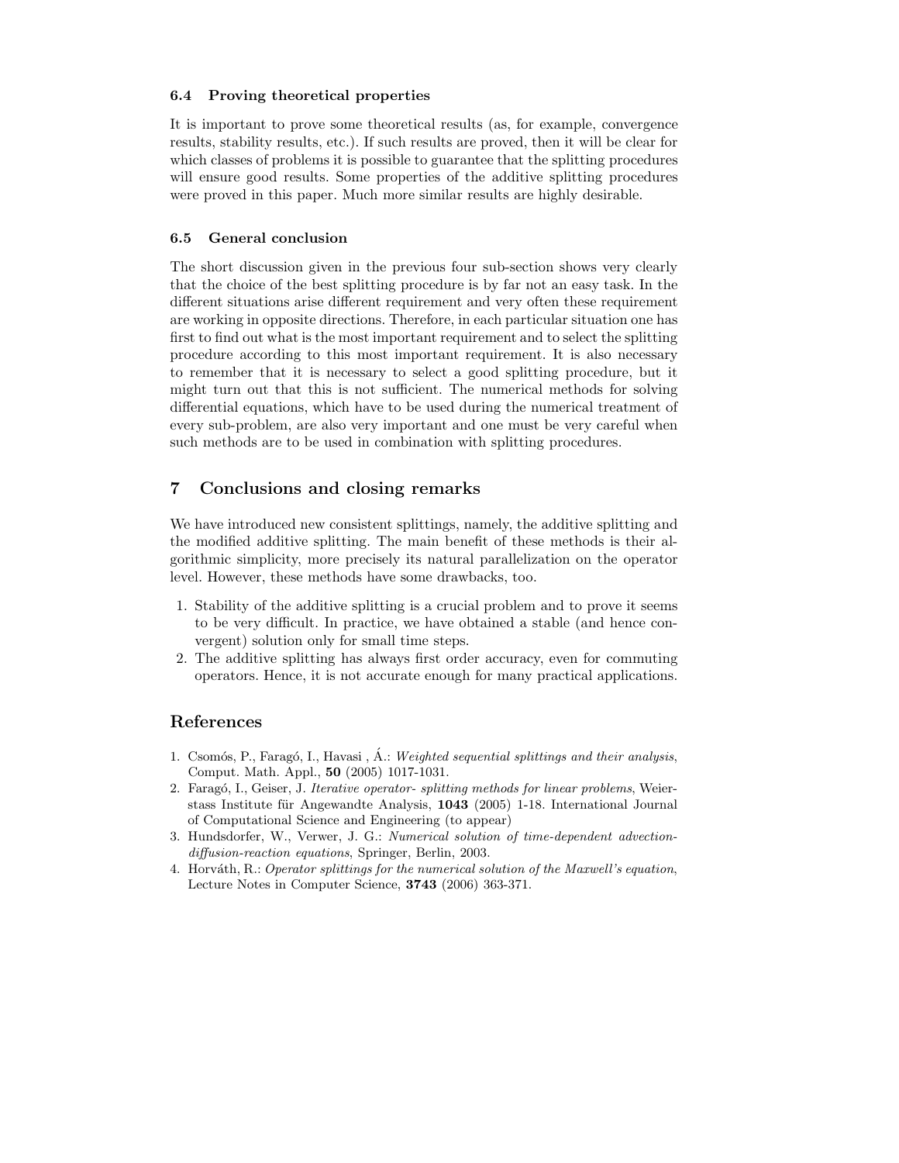## **6.4 Proving theoretical properties**

It is important to prove some theoretical results (as, for example, convergence results, stability results, etc.). If such results are proved, then it will be clear for which classes of problems it is possible to guarantee that the splitting procedures will ensure good results. Some properties of the additive splitting procedures were proved in this paper. Much more similar results are highly desirable.

#### **6.5 General conclusion**

The short discussion given in the previous four sub-section shows very clearly that the choice of the best splitting procedure is by far not an easy task. In the different situations arise different requirement and very often these requirement are working in opposite directions. Therefore, in each particular situation one has first to find out what is the most important requirement and to select the splitting procedure according to this most important requirement. It is also necessary to remember that it is necessary to select a good splitting procedure, but it might turn out that this is not sufficient. The numerical methods for solving differential equations, which have to be used during the numerical treatment of every sub-problem, are also very important and one must be very careful when such methods are to be used in combination with splitting procedures.

## **7 Conclusions and closing remarks**

We have introduced new consistent splittings, namely, the additive splitting and the modified additive splitting. The main benefit of these methods is their algorithmic simplicity, more precisely its natural parallelization on the operator level. However, these methods have some drawbacks, too.

- 1. Stability of the additive splitting is a crucial problem and to prove it seems to be very difficult. In practice, we have obtained a stable (and hence convergent) solution only for small time steps.
- 2. The additive splitting has always first order accuracy, even for commuting operators. Hence, it is not accurate enough for many practical applications.

## **References**

- 1. Csomós, P., Faragó, I., Havasi, Á.: Weighted sequential splittings and their analysis, Comput. Math. Appl., **50** (2005) 1017-1031.
- 2. Faragó, I., Geiser, J. Iterative operator- splitting methods for linear problems, Weierstass Institute für Angewandte Analysis, 1043 (2005) 1-18. International Journal of Computational Science and Engineering (to appear)
- 3. Hundsdorfer, W., Verwer, J. G.: Numerical solution of time-dependent advectiondiffusion-reaction equations, Springer, Berlin, 2003.
- 4. Horváth, R.: Operator splittings for the numerical solution of the Maxwell's equation, Lecture Notes in Computer Science, **3743** (2006) 363-371.